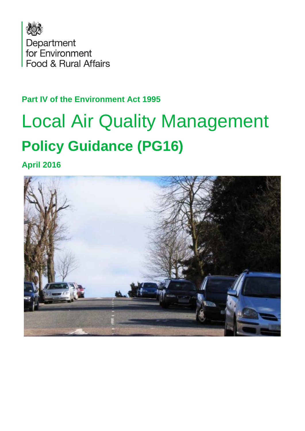

#### **Part IV of the Environment Act 1995**

# Local Air Quality Management **Policy Guidance (PG16)**

**April 2016**

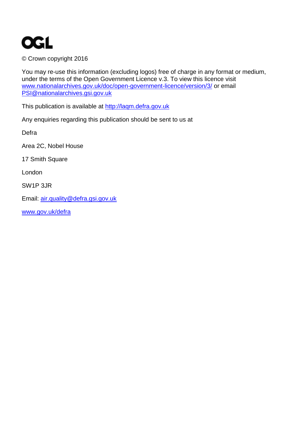

© Crown copyright 2016

You may re-use this information (excluding logos) free of charge in any format or medium, under the terms of the Open Government Licence v.3. To view this licence visit [www.nationalarchives.gov.uk/doc/open-government-licence/version/3/](http://www.nationalarchives.gov.uk/doc/open-government-licence/version/3/) or email [PSI@nationalarchives.gsi.gov.uk](mailto:PSI@nationalarchives.gsi.gov.uk)

This publication is available at [http://laqm.defra.gov.uk](http://laqm.defra.gov.uk/)

Any enquiries regarding this publication should be sent to us at

Defra

Area 2C, Nobel House

17 Smith Square

London

SW1P 3JR

Email: [air.quality@defra.gsi.gov.uk](mailto:air.quality@defra.gsi.gov.uk)

[www.gov.uk/defra](http://www.gov.uk/defra)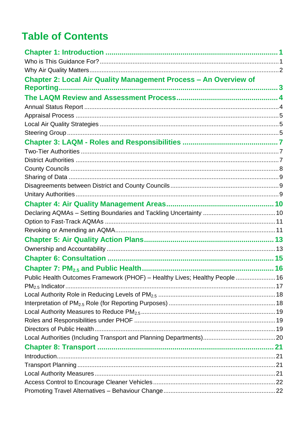### **Table of Contents**

| <b>Chapter 2: Local Air Quality Management Process - An Overview of</b>     |  |
|-----------------------------------------------------------------------------|--|
|                                                                             |  |
|                                                                             |  |
|                                                                             |  |
|                                                                             |  |
|                                                                             |  |
|                                                                             |  |
|                                                                             |  |
|                                                                             |  |
|                                                                             |  |
|                                                                             |  |
|                                                                             |  |
|                                                                             |  |
|                                                                             |  |
|                                                                             |  |
|                                                                             |  |
|                                                                             |  |
|                                                                             |  |
|                                                                             |  |
|                                                                             |  |
|                                                                             |  |
|                                                                             |  |
| Public Health Outcomes Framework (PHOF) - Healthy Lives; Healthy People  16 |  |
|                                                                             |  |
|                                                                             |  |
|                                                                             |  |
|                                                                             |  |
|                                                                             |  |
|                                                                             |  |
|                                                                             |  |
|                                                                             |  |
|                                                                             |  |
|                                                                             |  |
|                                                                             |  |
|                                                                             |  |
|                                                                             |  |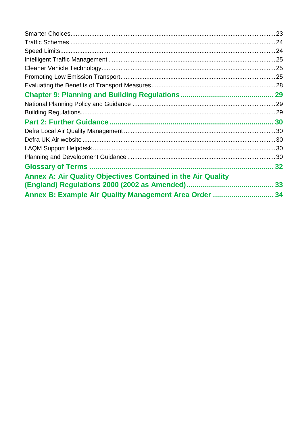| <b>Annex A: Air Quality Objectives Contained in the Air Quality</b> |    |
|---------------------------------------------------------------------|----|
|                                                                     | 33 |
| Annex B: Example Air Quality Management Area Order  34              |    |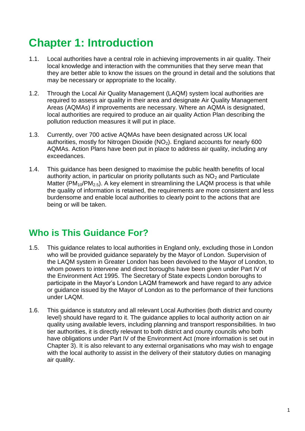### <span id="page-4-0"></span>**Chapter 1: Introduction**

- 1.1. Local authorities have a central role in achieving improvements in air quality. Their local knowledge and interaction with the communities that they serve mean that they are better able to know the issues on the ground in detail and the solutions that may be necessary or appropriate to the locality.
- 1.2. Through the Local Air Quality Management (LAQM) system local authorities are required to assess air quality in their area and designate Air Quality Management Areas (AQMAs) if improvements are necessary. Where an AQMA is designated, local authorities are required to produce an air quality Action Plan describing the pollution reduction measures it will put in place.
- 1.3. Currently, over 700 active AQMAs have been designated across UK local authorities, mostly for Nitrogen Dioxide  $(NO<sub>2</sub>)$ . England accounts for nearly 600 AQMAs. Action Plans have been put in place to address air quality, including any exceedances.
- 1.4. This guidance has been designed to maximise the public health benefits of local authority action, in particular on priority pollutants such as  $NO<sub>2</sub>$  and Particulate Matter ( $PM_{10}/PM_{2.5}$ ). A key element in streamlining the LAQM process is that while the quality of information is retained, the requirements are more consistent and less burdensome and enable local authorities to clearly point to the actions that are being or will be taken.

#### <span id="page-4-1"></span>**Who is This Guidance For?**

- 1.5. This guidance relates to local authorities in England only, excluding those in London who will be provided guidance separately by the Mayor of London. Supervision of the LAQM system in Greater London has been devolved to the Mayor of London, to whom powers to intervene and direct boroughs have been given under Part IV of the Environment Act 1995. The Secretary of State expects London boroughs to participate in the Mayor's London LAQM framework and have regard to any advice or guidance issued by the Mayor of London as to the performance of their functions under LAQM.
- 1.6. This guidance is statutory and all relevant Local Authorities (both district and county level) should have regard to it. The guidance applies to local authority action on air quality using available levers, including planning and transport responsibilities. In two tier authorities, it is directly relevant to both district and county councils who both have obligations under Part IV of the Environment Act (more information is set out in Chapter 3). It is also relevant to any external organisations who may wish to engage with the local authority to assist in the delivery of their statutory duties on managing air quality.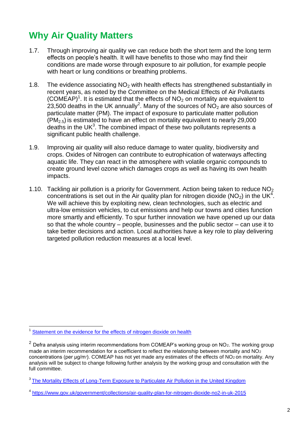### <span id="page-5-0"></span>**Why Air Quality Matters**

- 1.7. Through improving air quality we can reduce both the short term and the long term effects on people's health. It will have benefits to those who may find their conditions are made worse through exposure to air pollution, for example people with heart or lung conditions or breathing problems.
- 1.8. The evidence associating  $NO<sub>2</sub>$  with health effects has strengthened substantially in recent years, as noted by the Committee on the Medical Effects of Air Pollutants (COMEAP)<sup>1</sup>. It is estimated that the effects of  $NO<sub>2</sub>$  on mortality are equivalent to 23,500 deaths in the UK annually<sup>2</sup>. Many of the sources of  $NO<sub>2</sub>$  are also sources of particulate matter (PM). The impact of exposure to particulate matter pollution  $(PM_{2.5})$  is estimated to have an effect on mortality equivalent to nearly 29,000 deaths in the UK $3$ . The combined impact of these two pollutants represents a significant public health challenge.
- 1.9. Improving air quality will also reduce damage to water quality, biodiversity and crops. Oxides of Nitrogen can contribute to eutrophication of waterways affecting aquatic life. They can react in the atmosphere with volatile organic compounds to create ground level ozone which damages crops as well as having its own health impacts.
- 1.10. Tackling air pollution is a priority for Government. Action being taken to reduce  $NO<sub>2</sub>$ concentrations is set out in the Air quality plan for nitrogen dioxide ( $NO<sub>2</sub>$ ) in the UK<sup>4</sup>. We will achieve this by exploiting new, clean technologies, such as electric and ultra-low emission vehicles, to cut emissions and help our towns and cities function more smartly and efficiently. To spur further innovation we have opened up our data so that the whole country – people, businesses and the public sector – can use it to take better decisions and action. Local authorities have a key role to play delivering targeted pollution reduction measures at a local level.

<sup>1</sup> [Statement on the evidence for the effects of nitrogen dioxide on health](https://www.gov.uk/government/publications/nitrogen-dioxide-health-effects-of-exposure) 

<sup>&</sup>lt;sup>2</sup> Defra analysis using interim recommendations from COMEAP's working group on NO<sub>2</sub>. The working group made an interim recommendation for a coefficient to reflect the relationship between mortality and  $NO<sub>2</sub>$ concentrations (per  $\mu$ g/m<sup>3</sup>). COMEAP has not yet made any estimates of the effects of NO<sub>2</sub> on mortality. Any analysis will be subject to change following further analysis by the working group and consultation with the full committee.

<sup>&</sup>lt;sup>3</sup> [The Mortality Effects of Long-Term Exposure to Particulate Air Pollution in the United Kingdom](https://www.gov.uk/government/uploads/system/uploads/attachment_data/file/304641/COMEAP_mortality_effects_of_long_term_exposure.pdf)

<sup>4</sup> <https://www.gov.uk/government/collections/air-quality-plan-for-nitrogen-dioxide-no2-in-uk-2015>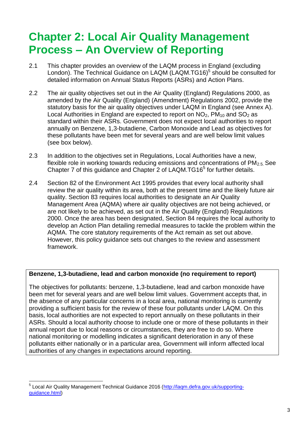### <span id="page-6-0"></span>**Chapter 2: Local Air Quality Management Process – An Overview of Reporting**

- <span id="page-6-1"></span>2.1 This chapter provides an overview of the LAQM process in England (excluding London). The Technical Guidance on LAQM (LAQM.TG16)<sup>5</sup> should be consulted for detailed information on Annual Status Reports (ASRs) and Action Plans.
- 2.2 The air quality objectives set out in the Air Quality (England) Regulations 2000, as amended by the Air Quality (England) (Amendment) Regulations 2002, provide the statutory basis for the air quality objectives under LAQM in England (see Annex A). Local Authorities in England are expected to report on  $NO<sub>2</sub>$ , PM<sub>10</sub> and SO<sub>2</sub> as standard within their ASRs. Government does not expect local authorities to report annually on Benzene, 1,3-butadiene, Carbon Monoxide and Lead as objectives for these pollutants have been met for several years and are well below limit values (see box below).
- 2.3 In addition to the objectives set in Regulations, Local Authorities have a new, flexible role in working towards reducing emissions and concentrations of  $PM<sub>2.5</sub>$  See Chapter 7 of this guidance and Chapter 2 of LAQM.TG16<sup>[5](#page-6-1)</sup> for further details.
- 2.4 Section 82 of the Environment Act 1995 provides that every local authority shall review the air quality within its area, both at the present time and the likely future air quality. Section 83 requires local authorities to designate an Air Quality Management Area (AQMA) where air quality objectives are not being achieved, or are not likely to be achieved, as set out in the Air Quality (England) Regulations 2000. Once the area has been designated, Section 84 requires the local authority to develop an Action Plan detailing remedial measures to tackle the problem within the AQMA. The core statutory requirements of the Act remain as set out above. However, this policy guidance sets out changes to the review and assessment framework.

#### **Benzene, 1,3-butadiene, lead and carbon monoxide (no requirement to report)**

The objectives for pollutants: benzene, 1,3-butadiene, lead and carbon monoxide have been met for several years and are well below limit values. Government accepts that, in the absence of any particular concerns in a local area, national monitoring is currently providing a sufficient basis for the review of these four pollutants under LAQM. On this basis, local authorities are not expected to report annually on these pollutants in their ASRs. Should a local authority choose to include one or more of these pollutants in their annual report due to local reasons or circumstances, they are free to do so. Where national monitoring or modelling indicates a significant deterioration in any of these pollutants either nationally or in a particular area, Government will inform affected local authorities of any changes in expectations around reporting.

 5 Local Air Quality Management Technical Guidance 2016 [\(http://laqm.defra.gov.uk/supporting](http://laqm.defra.gov.uk/supporting-guidance.html)[guidance.html\)](http://laqm.defra.gov.uk/supporting-guidance.html)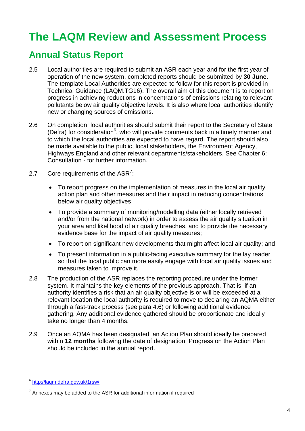### <span id="page-7-0"></span>**The LAQM Review and Assessment Process**

#### <span id="page-7-1"></span>**Annual Status Report**

- 2.5 Local authorities are required to submit an ASR each year and for the first year of operation of the new system, completed reports should be submitted by **30 June**. The template Local Authorities are expected to follow for this report is provided in Technical Guidance (LAQM.TG16). The overall aim of this document is to report on progress in achieving reductions in concentrations of emissions relating to relevant pollutants below air quality objective levels. It is also where local authorities identify new or changing sources of emissions.
- 2.6 On completion, local authorities should submit their report to the Secretary of State (Defra) for consideration<sup>6</sup>, who will provide comments back in a timely manner and to which the local authorities are expected to have regard. The report should also be made available to the public, local stakeholders, the Environment Agency, Highways England and other relevant departments/stakeholders. See Chapter 6: Consultation - for further information.
- 2.7 Core requirements of the  $ASR^7$ :
	- To report progress on the implementation of measures in the local air quality action plan and other measures and their impact in reducing concentrations below air quality objectives;
	- To provide a summary of monitoring/modelling data (either locally retrieved and/or from the national network) in order to assess the air quality situation in your area and likelihood of air quality breaches, and to provide the necessary evidence base for the impact of air quality measures;
	- To report on significant new developments that might affect local air quality; and
	- To present information in a public-facing executive summary for the lay reader so that the local public can more easily engage with local air quality issues and measures taken to improve it.
- 2.8 The production of the ASR replaces the reporting procedure under the former system. It maintains the key elements of the previous approach. That is, if an authority identifies a risk that an air quality objective is or will be exceeded at a relevant location the local authority is required to move to declaring an AQMA either through a fast-track process (see para 4.6) or following additional evidence gathering. Any additional evidence gathered should be proportionate and ideally take no longer than 4 months.
- 2.9 Once an AQMA has been designated, an Action Plan should ideally be prepared within **12 months** following the date of designation. Progress on the Action Plan should be included in the annual report.

 6 <http://laqm.defra.gov.uk/1rsw/>

 $7$  Annexes may be added to the ASR for additional information if required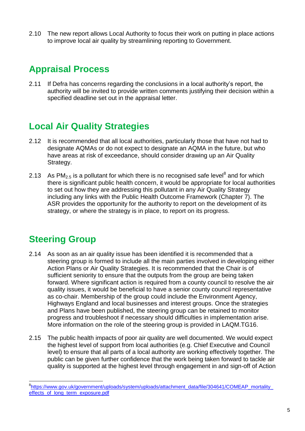2.10 The new report allows Local Authority to focus their work on putting in place actions to improve local air quality by streamlining reporting to Government.

#### <span id="page-8-0"></span>**Appraisal Process**

2.11 If Defra has concerns regarding the conclusions in a local authority's report, the authority will be invited to provide written comments justifying their decision within a specified deadline set out in the appraisal letter.

#### <span id="page-8-1"></span>**Local Air Quality Strategies**

- 2.12 It is recommended that all local authorities, particularly those that have not had to designate AQMAs or do not expect to designate an AQMA in the future, but who have areas at risk of exceedance, should consider drawing up an Air Quality Strategy.
- 2.13 As  $PM_{2.5}$  is a pollutant for which there is no recognised safe level<sup>8</sup> and for which there is significant public health concern, it would be appropriate for local authorities to set out how they are addressing this pollutant in any Air Quality Strategy including any links with the Public Health Outcome Framework (Chapter 7). The ASR provides the opportunity for the authority to report on the development of its strategy, or where the strategy is in place, to report on its progress.

#### <span id="page-8-2"></span>**Steering Group**

- 2.14 As soon as an air quality issue has been identified it is recommended that a steering group is formed to include all the main parties involved in developing either Action Plans or Air Quality Strategies. It is recommended that the Chair is of sufficient seniority to ensure that the outputs from the group are being taken forward. Where significant action is required from a county council to resolve the air quality issues, it would be beneficial to have a senior county council representative as co-chair. Membership of the group could include the Environment Agency, Highways England and local businesses and interest groups. Once the strategies and Plans have been published, the steering group can be retained to monitor progress and troubleshoot if necessary should difficulties in implementation arise. More information on the role of the steering group is provided in LAQM.TG16.
- 2.15 The public health impacts of poor air quality are well documented. We would expect the highest level of support from local authorities (e.g. Chief Executive and Council level) to ensure that all parts of a local authority are working effectively together. The public can be given further confidence that the work being taken forward to tackle air quality is supported at the highest level through engagement in and sign-off of Action

<sup>&</sup>lt;sup>8</sup>[https://www.gov.uk/government/uploads/system/uploads/attachment\\_data/file/304641/COMEAP\\_mortality\\_](https://www.gov.uk/government/uploads/system/uploads/attachment_data/file/304641/COMEAP_mortality_effects_of_long_term_exposure.pdf) [effects\\_of\\_long\\_term\\_exposure.pdf](https://www.gov.uk/government/uploads/system/uploads/attachment_data/file/304641/COMEAP_mortality_effects_of_long_term_exposure.pdf)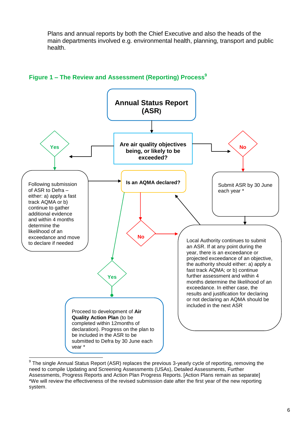Plans and annual reports by both the Chief Executive and also the heads of the main departments involved e.g. environmental health, planning, transport and public health.



#### **Figure 1 ‒ The Review and Assessment (Reporting) Process<sup>9</sup>**

<sup>9</sup> The single Annual Status Report (ASR) replaces the previous 3-yearly cycle of reporting, removing the need to compile Updating and Screening Assessments (USAs), Detailed Assessments, Further Assessments, Progress Reports and Action Plan Progress Reports. [Action Plans remain as separate] \*We will review the effectiveness of the revised submission date after the first year of the new reporting system.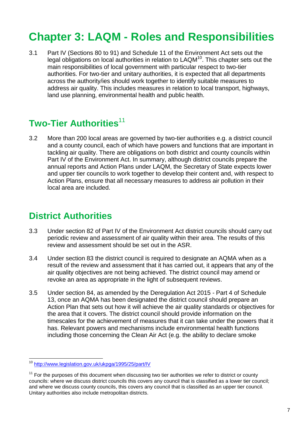### <span id="page-10-0"></span>**Chapter 3: LAQM - Roles and Responsibilities**

3.1 Part IV (Sections 80 to 91) and Schedule 11 of the Environment Act sets out the legal obligations on local authorities in relation to  $LAQM^{10}$ . This chapter sets out the main responsibilities of local government with particular respect to two-tier authorities. For two-tier and unitary authorities, it is expected that all departments across the authority/ies should work together to identify suitable measures to address air quality. This includes measures in relation to local transport, highways, land use planning, environmental health and public health.

#### <span id="page-10-1"></span>**Two-Tier Authorities**<sup>11</sup>

3.2 More than 200 local areas are governed by two-tier authorities e.g. a district council and a county council, each of which have powers and functions that are important in tackling air quality. There are obligations on both district and county councils within Part IV of the Environment Act. In summary, although district councils prepare the annual reports and Action Plans under LAQM, the Secretary of State expects lower and upper tier councils to work together to develop their content and, with respect to Action Plans, ensure that all necessary measures to address air pollution in their local area are included.

#### <span id="page-10-2"></span>**District Authorities**

- 3.3 Under section 82 of Part IV of the Environment Act district councils should carry out periodic review and assessment of air quality within their area. The results of this review and assessment should be set out in the ASR.
- 3.4 Under section 83 the district council is required to designate an AQMA when as a result of the review and assessment that it has carried out, it appears that any of the air quality objectives are not being achieved. The district council may amend or revoke an area as appropriate in the light of subsequent reviews.
- 3.5 Under section 84, as amended by the Deregulation Act 2015 Part 4 of Schedule 13, once an AQMA has been designated the district council should prepare an Action Plan that sets out how it will achieve the air quality standards or objectives for the area that it covers. The district council should provide information on the timescales for the achievement of measures that it can take under the powers that it has. Relevant powers and mechanisms include environmental health functions including those concerning the Clean Air Act (e.g. the ability to declare smoke

<sup>10</sup> <http://www.legislation.gov.uk/ukpga/1995/25/part/IV>

 $11$  For the purposes of this document when discussing two tier authorities we refer to district or county councils: where we discuss district councils this covers any council that is classified as a lower tier council; and where we discuss county councils, this covers any council that is classified as an upper tier council. Unitary authorities also include metropolitan districts.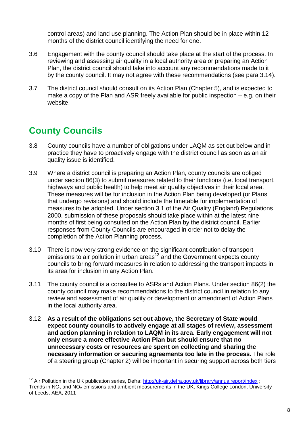control areas) and land use planning. The Action Plan should be in place within 12 months of the district council identifying the need for one.

- 3.6 Engagement with the county council should take place at the start of the process. In reviewing and assessing air quality in a local authority area or preparing an Action Plan, the district council should take into account any recommendations made to it by the county council. It may not agree with these recommendations (see para 3.14).
- 3.7 The district council should consult on its Action Plan (Chapter 5), and is expected to make a copy of the Plan and ASR freely available for public inspection – e.g. on their website.

### <span id="page-11-0"></span>**County Councils**

<u>.</u>

- 3.8 County councils have a number of obligations under LAQM as set out below and in practice they have to proactively engage with the district council as soon as an air quality issue is identified.
- 3.9 Where a district council is preparing an Action Plan, county councils are obliged under section 86(3) to submit measures related to their functions (i.e. local transport, highways and public health) to help meet air quality objectives in their local area. These measures will be for inclusion in the Action Plan being developed (or Plans that undergo revisions) and should include the timetable for implementation of measures to be adopted. Under section 3.1 of the Air Quality (England) Regulations 2000, submission of these proposals should take place within at the latest nine months of first being consulted on the Action Plan by the district council. Earlier responses from County Councils are encouraged in order not to delay the completion of the Action Planning process.
- 3.10 There is now very strong evidence on the significant contribution of transport emissions to air pollution in urban areas $12$  and the Government expects county councils to bring forward measures in relation to addressing the transport impacts in its area for inclusion in any Action Plan.
- 3.11 The county council is a consultee to ASRs and Action Plans. Under section 86(2) the county council may make recommendations to the district council in relation to any review and assessment of air quality or development or amendment of Action Plans in the local authority area.
- 3.12 **As a result of the obligations set out above, the Secretary of State would expect county councils to actively engage at all stages of review, assessment and action planning in relation to LAQM in its area. Early engagement will not only ensure a more effective Action Plan but should ensure that no unnecessary costs or resources are spent on collecting and sharing the necessary information or securing agreements too late in the process.** The role of a steering group (Chapter 2) will be important in securing support across both tiers

<sup>&</sup>lt;sup>12</sup> Air Pollution in the UK publication series, Defra:<http://uk-air.defra.gov.uk/library/annualreport/index> : Trends in  $NO<sub>x</sub>$  and  $NO<sub>2</sub>$  emissions and ambient measurements in the UK, Kings College London, University of Leeds, AEA, 2011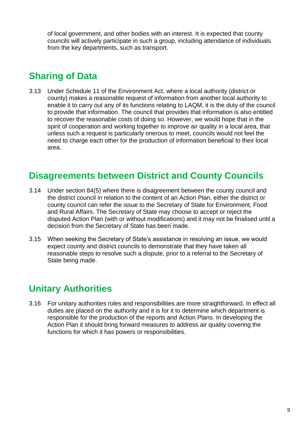of local government, and other bodies with an interest. It is expected that county councils will actively participate in such a group, including attendance of individuals from the key departments, such as transport.

#### <span id="page-12-0"></span>**Sharing of Data**

3.13 Under Schedule 11 of the Environment Act, where a local authority (district or county) makes a reasonable request of information from another local authority to enable it to carry out any of its functions relating to LAQM, it is the duty of the council to provide that information. The council that provides that information is also entitled to recover the reasonable costs of doing so. However, we would hope that in the spirit of cooperation and working together to improve air quality in a local area, that unless such a request is particularly onerous to meet, councils would not feel the need to charge each other for the production of information beneficial to their local area.

#### <span id="page-12-1"></span>**Disagreements between District and County Councils**

- 3.14 Under section 84(5) where there is disagreement between the county council and the district council in relation to the content of an Action Plan, either the district or county council can refer the issue to the Secretary of State for Environment, Food and Rural Affairs. The Secretary of State may choose to accept or reject the disputed Action Plan (with or without modifications) and it may not be finalised until a decision from the Secretary of State has been made.
- 3.15 When seeking the Secretary of State's assistance in resolving an issue, we would expect county and district councils to demonstrate that they have taken all reasonable steps to resolve such a dispute, prior to a referral to the Secretary of State being made.

#### <span id="page-12-2"></span>**Unitary Authorities**

3.16 For unitary authorities roles and responsibilities are more straightforward. In effect all duties are placed on the authority and it is for it to determine which department is responsible for the production of the reports and Action Plans. In developing the Action Plan it should bring forward measures to address air quality covering the functions for which it has powers or responsibilities.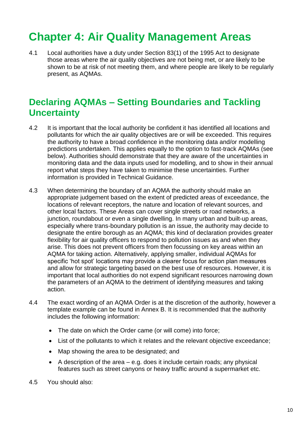### <span id="page-13-0"></span>**Chapter 4: Air Quality Management Areas**

4.1 Local authorities have a duty under Section 83(1) of the 1995 Act to designate those areas where the air quality objectives are not being met, or are likely to be shown to be at risk of not meeting them, and where people are likely to be regularly present, as AQMAs.

#### <span id="page-13-1"></span>**Declaring AQMAs – Setting Boundaries and Tackling Uncertainty**

- 4.2 It is important that the local authority be confident it has identified all locations and pollutants for which the air quality objectives are or will be exceeded. This requires the authority to have a broad confidence in the monitoring data and/or modelling predictions undertaken. This applies equally to the option to fast-track AQMAs (see below). Authorities should demonstrate that they are aware of the uncertainties in monitoring data and the data inputs used for modelling, and to show in their annual report what steps they have taken to minimise these uncertainties. Further information is provided in Technical Guidance.
- 4.3 When determining the boundary of an AQMA the authority should make an appropriate judgement based on the extent of predicted areas of exceedance, the locations of relevant receptors, the nature and location of relevant sources, and other local factors. These Areas can cover single streets or road networks, a junction, roundabout or even a single dwelling. In many urban and built-up areas, especially where trans-boundary pollution is an issue, the authority may decide to designate the entire borough as an AQMA; this kind of declaration provides greater flexibility for air quality officers to respond to pollution issues as and when they arise. This does not prevent officers from then focussing on key areas within an AQMA for taking action. Alternatively, applying smaller, individual AQMAs for specific 'hot spot' locations may provide a clearer focus for action plan measures and allow for strategic targeting based on the best use of resources. However, it is important that local authorities do not expend significant resources narrowing down the parameters of an AQMA to the detriment of identifying measures and taking action.
- 4.4 The exact wording of an AQMA Order is at the discretion of the authority, however a template example can be found in Annex B. It is recommended that the authority includes the following information:
	- The date on which the Order came (or will come) into force;
	- List of the pollutants to which it relates and the relevant objective exceedance;
	- Map showing the area to be designated; and
	- $\bullet$  A description of the area e.g. does it include certain roads; any physical features such as street canyons or heavy traffic around a supermarket etc.
- 4.5 You should also: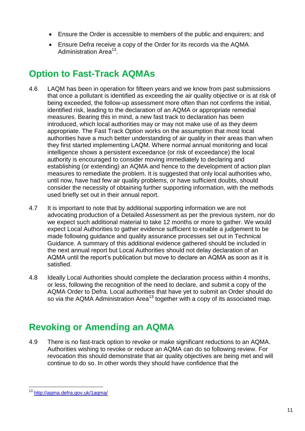- Ensure the Order is accessible to members of the public and enquirers; and
- <span id="page-14-2"></span> Ensure Defra receive a copy of the Order for its records via the AQMA Administration Area<sup>13</sup>.

#### <span id="page-14-0"></span>**Option to Fast-Track AQMAs**

- 4.6 LAQM has been in operation for fifteen years and we know from past submissions that once a pollutant is identified as exceeding the air quality objective or is at risk of being exceeded, the follow-up assessment more often than not confirms the initial, identified risk, leading to the declaration of an AQMA or appropriate remedial measures. Bearing this in mind, a new fast track to declaration has been introduced, which local authorities may or may not make use of as they deem appropriate. The Fast Track Option works on the assumption that most local authorities have a much better understanding of air quality in their areas than when they first started implementing LAQM. Where normal annual monitoring and local intelligence shows a persistent exceedance (or risk of exceedance) the local authority is encouraged to consider moving immediately to declaring and establishing (or extending) an AQMA and hence to the development of action plan measures to remediate the problem. It is suggested that only local authorities who, until now, have had few air quality problems, or have sufficient doubts, should consider the necessity of obtaining further supporting information, with the methods used briefly set out in their annual report.
- 4.7 It is important to note that by additional supporting information we are not advocating production of a Detailed Assessment as per the previous system, nor do we expect such additional material to take 12 months or more to gather. We would expect Local Authorities to gather evidence sufficient to enable a judgement to be made following guidance and quality assurance processes set out in Technical Guidance. A summary of this additional evidence gathered should be included in the next annual report but Local Authorities should not delay declaration of an AQMA until the report's publication but move to declare an AQMA as soon as it is satisfied.
- 4.8 Ideally Local Authorities should complete the declaration process within 4 months, or less, following the recognition of the need to declare, and submit a copy of the AQMA Order to Defra. Local authorities that have yet to submit an Order should do so via the AQMA Administration Area<sup>[13](#page-14-2)</sup> together with a copy of its associated map.

#### <span id="page-14-1"></span>**Revoking or Amending an AQMA**

4.9 There is no fast-track option to revoke or make significant reductions to an AQMA. Authorities wishing to revoke or reduce an AQMA can do so following review. For revocation this should demonstrate that air quality objectives are being met and will continue to do so. In other words they should have confidence that the

<sup>1</sup> <sup>13</sup> <http://aqma.defra.gov.uk/1aqma/>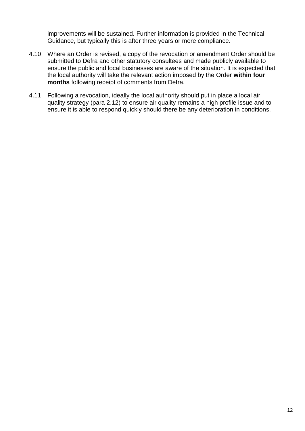improvements will be sustained. Further information is provided in the Technical Guidance, but typically this is after three years or more compliance.

- 4.10 Where an Order is revised, a copy of the revocation or amendment Order should be submitted to Defra and other statutory consultees and made publicly available to ensure the public and local businesses are aware of the situation. It is expected that the local authority will take the relevant action imposed by the Order **within four months** following receipt of comments from Defra.
- 4.11 Following a revocation, ideally the local authority should put in place a local air quality strategy (para 2.12) to ensure air quality remains a high profile issue and to ensure it is able to respond quickly should there be any deterioration in conditions.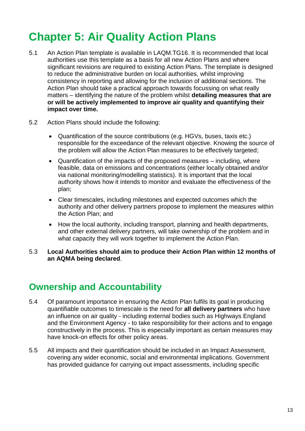### <span id="page-16-0"></span>**Chapter 5: Air Quality Action Plans**

- 5.1 An Action Plan template is available in LAQM.TG16. It is recommended that local authorities use this template as a basis for all new Action Plans and where significant revisions are required to existing Action Plans. The template is designed to reduce the administrative burden on local authorities, whilst improving consistency in reporting and allowing for the inclusion of additional sections. The Action Plan should take a practical approach towards focussing on what really matters – identifying the nature of the problem whilst **detailing measures that are or will be actively implemented to improve air quality and quantifying their impact over time.**
- 5.2 Action Plans should include the following:
	- Quantification of the source contributions (e.g. HGVs, buses, taxis etc.) responsible for the exceedance of the relevant objective. Knowing the source of the problem will allow the Action Plan measures to be effectively targeted;
	- Quantification of the impacts of the proposed measures including, where feasible, data on emissions and concentrations (either locally obtained and/or via national monitoring/modelling statistics). It is important that the local authority shows how it intends to monitor and evaluate the effectiveness of the plan;
	- Clear timescales, including milestones and expected outcomes which the authority and other delivery partners propose to implement the measures within the Action Plan; and
	- How the local authority, including transport, planning and health departments, and other external delivery partners, will take ownership of the problem and in what capacity they will work together to implement the Action Plan.
- 5.3 **Local Authorities should aim to produce their Action Plan within 12 months of an AQMA being declared**.

#### <span id="page-16-1"></span>**Ownership and Accountability**

- 5.4 Of paramount importance in ensuring the Action Plan fulfils its goal in producing quantifiable outcomes to timescale is the need for **all delivery partners** who have an influence on air quality - including external bodies such as Highways England and the Environment Agency - to take responsibility for their actions and to engage constructively in the process. This is especially important as certain measures may have knock-on effects for other policy areas.
- 5.5 All impacts and their quantification should be included in an Impact Assessment, covering any wider economic, social and environmental implications. Government has provided guidance for carrying out impact assessments, including specific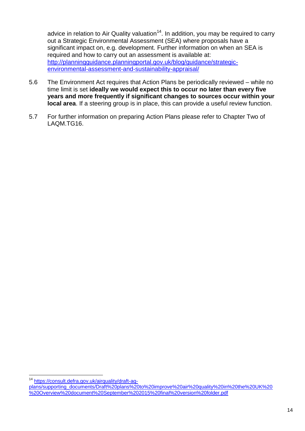advice in relation to Air Quality valuation<sup>14</sup>. In addition, you may be required to carry out a Strategic Environmental Assessment (SEA) where proposals have a significant impact on, e.g. development. Further information on when an SEA is required and how to carry out an assessment is available at: [http://planningguidance.planningportal.gov.uk/blog/guidance/strategic](http://planningguidance.planningportal.gov.uk/blog/guidance/strategic-environmental-assessment-and-sustainability-appraisal/)[environmental-assessment-and-sustainability-appraisal/](http://planningguidance.planningportal.gov.uk/blog/guidance/strategic-environmental-assessment-and-sustainability-appraisal/)

- 5.6 The Environment Act requires that Action Plans be periodically reviewed while no time limit is set **ideally we would expect this to occur no later than every five years and more frequently if significant changes to sources occur within your local area**. If a steering group is in place, this can provide a useful review function.
- 5.7 For further information on preparing Action Plans please refer to Chapter Two of LAQM.TG16.

<sup>&</sup>lt;u>.</u> <sup>14</sup> [https://consult.defra.gov.uk/airquality/draft-aq-](https://consult.defra.gov.uk/airquality/draft-aq-plans/supporting_documents/Draft%20plans%20to%20improve%20air%20quality%20in%20the%20UK%20%20Overview%20document%20September%202015%20final%20version%20folder.pdf)

[plans/supporting\\_documents/Draft%20plans%20to%20improve%20air%20quality%20in%20the%20UK%20](https://consult.defra.gov.uk/airquality/draft-aq-plans/supporting_documents/Draft%20plans%20to%20improve%20air%20quality%20in%20the%20UK%20%20Overview%20document%20September%202015%20final%20version%20folder.pdf) [%20Overview%20document%20September%202015%20final%20version%20folder.pdf](https://consult.defra.gov.uk/airquality/draft-aq-plans/supporting_documents/Draft%20plans%20to%20improve%20air%20quality%20in%20the%20UK%20%20Overview%20document%20September%202015%20final%20version%20folder.pdf)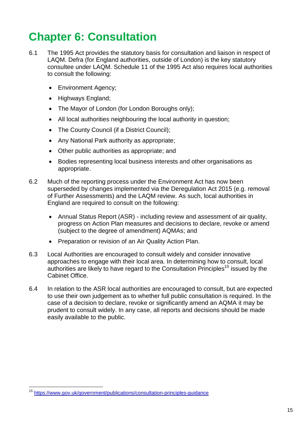### <span id="page-18-0"></span>**Chapter 6: Consultation**

- 6.1 The 1995 Act provides the statutory basis for consultation and liaison in respect of LAQM. Defra (for England authorities, outside of London) is the key statutory consultee under LAQM. Schedule 11 of the 1995 Act also requires local authorities to consult the following:
	- Environment Agency;
	- Highways England;
	- The Mayor of London (for London Boroughs only);
	- All local authorities neighbouring the local authority in question;
	- The County Council (if a District Council);
	- Any National Park authority as appropriate;
	- Other public authorities as appropriate; and
	- Bodies representing local business interests and other organisations as appropriate.
- 6.2 Much of the reporting process under the Environment Act has now been superseded by changes implemented via the Deregulation Act 2015 (e.g. removal of Further Assessments) and the LAQM review. As such, local authorities in England are required to consult on the following:
	- Annual Status Report (ASR) including review and assessment of air quality, progress on Action Plan measures and decisions to declare, revoke or amend (subject to the degree of amendment) AQMAs; and
	- Preparation or revision of an Air Quality Action Plan.
- 6.3 Local Authorities are encouraged to consult widely and consider innovative approaches to engage with their local area. In determining how to consult, local authorities are likely to have regard to the Consultation Principles<sup>15</sup> issued by the Cabinet Office.
- 6.4 In relation to the ASR local authorities are encouraged to consult, but are expected to use their own judgement as to whether full public consultation is required. In the case of a decision to declare, revoke or significantly amend an AQMA it may be prudent to consult widely. In any case, all reports and decisions should be made easily available to the public.

<sup>1</sup> <sup>15</sup> <https://www.gov.uk/government/publications/consultation-principles-guidance>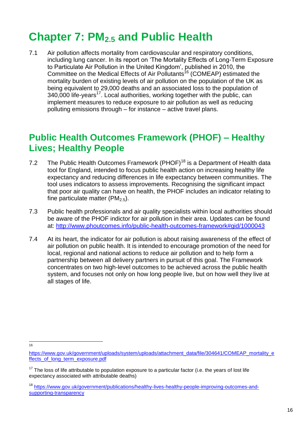### <span id="page-19-0"></span>**Chapter 7: PM2.5 and Public Health**

7.1 Air pollution affects mortality from cardiovascular and respiratory conditions, including lung cancer. In its report on 'The Mortality Effects of Long-Term Exposure to Particulate Air Pollution in the United Kingdom', published in 2010, the Committee on the Medical Effects of Air Pollutants<sup>16</sup> (COMEAP) estimated the mortality burden of existing levels of air pollution on the population of the UK as being equivalent to 29,000 deaths and an associated loss to the population of  $340,000$  life-years<sup>17</sup>. Local authorities, working together with the public, can implement measures to reduce exposure to air pollution as well as reducing polluting emissions through – for instance – active travel plans.

#### <span id="page-19-1"></span>**Public Health Outcomes Framework (PHOF) – Healthy Lives; Healthy People**

- 7.2 The Public Health Outcomes Framework (PHOF)<sup>18</sup> is a Department of Health data tool for England, intended to focus public health action on increasing healthy life expectancy and reducing differences in life expectancy between communities. The tool uses indicators to assess improvements. Recognising the significant impact that poor air quality can have on health, the PHOF includes an indicator relating to fine particulate matter ( $PM<sub>2.5</sub>$ ).
- 7.3 Public health professionals and air quality specialists within local authorities should be aware of the PHOF indictor for air pollution in their area. Updates can be found at:<http://www.phoutcomes.info/public-health-outcomes-framework#gid/1000043>
- 7.4 At its heart, the indicator for air pollution is about raising awareness of the effect of air pollution on public health. It is intended to encourage promotion of the need for local, regional and national actions to reduce air pollution and to help form a partnership between all delivery partners in pursuit of this goal. The Framework concentrates on two high-level outcomes to be achieved across the public health system, and focuses not only on how long people live, but on how well they live at all stages of life.

 $\frac{1}{16}$ 

[https://www.gov.uk/government/uploads/system/uploads/attachment\\_data/file/304641/COMEAP\\_mortality\\_e](https://www.gov.uk/government/uploads/system/uploads/attachment_data/file/304641/COMEAP_mortality_effects_of_long_term_exposure.pdf) ffects of long\_term\_exposure.pdf

 $17$  The loss of life attributable to population exposure to a particular factor (i.e. the years of lost life expectancy associated with attributable deaths)

<sup>18</sup> [https://www.gov.uk/government/publications/healthy-lives-healthy-people-improving-outcomes-and](https://www.gov.uk/government/publications/healthy-lives-healthy-people-improving-outcomes-and-supporting-transparency)[supporting-transparency](https://www.gov.uk/government/publications/healthy-lives-healthy-people-improving-outcomes-and-supporting-transparency)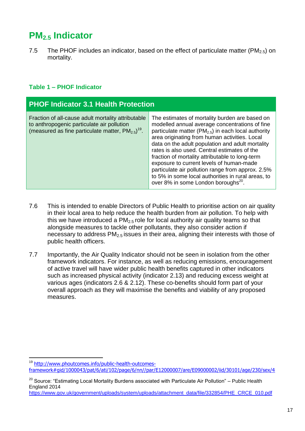#### <span id="page-20-0"></span>**PM2.5 Indicator**

7.5 The PHOF includes an indicator, based on the effect of particulate matter (PM<sub>2.5</sub>) on mortality.

#### **Table 1 ‒ PHOF Indicator**

| <b>PHOF Indicator 3.1 Health Protection</b>                                                                                                                            |                                                                                                                                                                                                                                                                                                                                                                                                                                                                                                                                                                              |  |  |  |
|------------------------------------------------------------------------------------------------------------------------------------------------------------------------|------------------------------------------------------------------------------------------------------------------------------------------------------------------------------------------------------------------------------------------------------------------------------------------------------------------------------------------------------------------------------------------------------------------------------------------------------------------------------------------------------------------------------------------------------------------------------|--|--|--|
| Fraction of all-cause adult mortality attributable<br>to anthropogenic particulate air pollution<br>(measured as fine particulate matter, $PM_{2.5}$ ) <sup>19</sup> . | The estimates of mortality burden are based on<br>modelled annual average concentrations of fine<br>particulate matter ( $PM2.5$ ) in each local authority<br>area originating from human activities. Local<br>data on the adult population and adult mortality<br>rates is also used. Central estimates of the<br>fraction of mortality attributable to long-term<br>exposure to current levels of human-made<br>particulate air pollution range from approx. 2.5%<br>to 5% in some local authorities in rural areas, to<br>over 8% in some London boroughs <sup>20</sup> . |  |  |  |

- 7.6 This is intended to enable Directors of Public Health to prioritise action on air quality in their local area to help reduce the health burden from air pollution. To help with this we have introduced a  $PM<sub>2.5</sub>$  role for local authority air quality teams so that alongside measures to tackle other pollutants, they also consider action if necessary to address  $PM<sub>2.5</sub>$  issues in their area, aligning their interests with those of public health officers.
- 7.7 Importantly, the Air Quality Indicator should not be seen in isolation from the other framework indicators. For instance, as well as reducing emissions, encouragement of active travel will have wider public health benefits captured in other indicators such as increased physical activity (indicator 2.13) and reducing excess weight at various ages (indicators 2.6 & 2.12). These co-benefits should form part of your overall approach as they will maximise the benefits and viability of any proposed measures.

<sup>1</sup> <sup>19</sup> http://www.phoutcomes.info/public-health-outcomesframework#gid/1000043/pat/6/ati/102/page/6/nn//par/E12000007/are/E09000002/iid/30101/age/230/sex/4

 $20$  Source: "Estimating Local Mortality Burdens associated with Particulate Air Pollution" – Public Health England 2014

[https://www.gov.uk/government/uploads/system/uploads/attachment\\_data/file/332854/PHE\\_CRCE\\_010.pdf](https://www.gov.uk/government/uploads/system/uploads/attachment_data/file/332854/PHE_CRCE_010.pdf)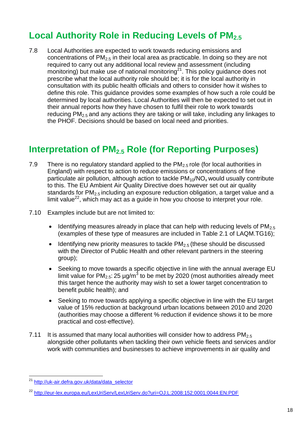#### <span id="page-21-0"></span>**Local Authority Role in Reducing Levels of PM2.5**

7.8 Local Authorities are expected to work towards reducing emissions and concentrations of  $PM<sub>2.5</sub>$  in their local area as practicable. In doing so they are not required to carry out any additional local review and assessment (including monitoring) but make use of national monitoring $^{21}$ . This policy guidance does not prescribe what the local authority role should be; it is for the local authority in consultation with its public health officials and others to consider how it wishes to define this role. This guidance provides some examples of how such a role could be determined by local authorities. Local Authorities will then be expected to set out in their annual reports how they have chosen to fulfil their role to work towards reducing  $PM<sub>2.5</sub>$  and any actions they are taking or will take, including any linkages to the PHOF. Decisions should be based on local need and priorities.

#### <span id="page-21-1"></span>**Interpretation of PM2.5 Role (for Reporting Purposes)**

- 7.9 There is no regulatory standard applied to the  $PM<sub>2.5</sub>$  role (for local authorities in England) with respect to action to reduce emissions or concentrations of fine particulate air pollution, although action to tackle  $PM_{10}/NO_x$  would usually contribute to this. The EU Ambient Air Quality Directive does however set out air quality standards for  $PM<sub>2.5</sub>$  including an exposure reduction obligation, a target value and a limit value<sup>22</sup>, which may act as a guide in how you choose to interpret your role.
- 7.10 Examples include but are not limited to:
	- $\bullet$  Identifying measures already in place that can help with reducing levels of PM<sub>2.5</sub> (examples of these type of measures are included in Table 2.1 of LAQM.TG16);
	- $\bullet$  Identifying new priority measures to tackle PM<sub>2.5</sub> (these should be discussed with the Director of Public Health and other relevant partners in the steering group);
	- Seeking to move towards a specific objective in line with the annual average EU limit value for PM<sub>2.5</sub>: 25  $\mu$ g/m<sup>3</sup> to be met by 2020 (most authorities already meet this target hence the authority may wish to set a lower target concentration to benefit public health); and
	- Seeking to move towards applying a specific objective in line with the EU target value of 15% reduction at background urban locations between 2010 and 2020 (authorities may choose a different % reduction if evidence shows it to be more practical and cost-effective).
- 7.11 It is assumed that many local authorities will consider how to address  $PM<sub>2.5</sub>$ alongside other pollutants when tackling their own vehicle fleets and services and/or work with communities and businesses to achieve improvements in air quality and

<sup>&</sup>lt;sup>21</sup> [http://uk-air.defra.gov.uk/data/data\\_selector](http://uk-air.defra.gov.uk/data/data_selector)

<sup>22</sup> <http://eur-lex.europa.eu/LexUriServ/LexUriServ.do?uri=OJ:L:2008:152:0001:0044:EN:PDF>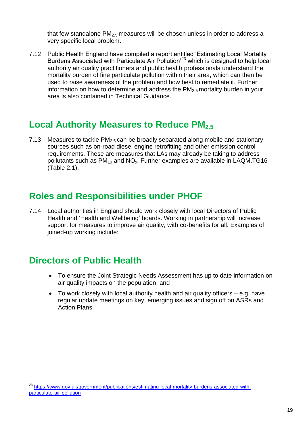that few standalone  $PM<sub>2.5</sub>$  measures will be chosen unless in order to address a very specific local problem.

7.12 Public Health England have compiled a report entitled 'Estimating Local Mortality Burdens Associated with Particulate Air Pollution'<sup>23</sup> which is designed to help local authority air quality practitioners and public health professionals understand the mortality burden of fine particulate pollution within their area, which can then be used to raise awareness of the problem and how best to remediate it. Further information on how to determine and address the  $PM<sub>2.5</sub>$  mortality burden in your area is also contained in Technical Guidance.

#### <span id="page-22-0"></span>**Local Authority Measures to Reduce PM2.5**

7.13 Measures to tackle  $PM<sub>2.5</sub>$  can be broadly separated along mobile and stationary sources such as on-road diesel engine retrofitting and other emission control requirements. These are measures that LAs may already be taking to address pollutants such as  $PM_{10}$  and NO<sub>x</sub>. Further examples are available in LAQM.TG16 (Table 2.1).

#### <span id="page-22-1"></span>**Roles and Responsibilities under PHOF**

7.14 Local authorities in England should work closely with local Directors of Public Health and 'Health and Wellbeing' boards. Working in partnership will increase support for measures to improve air quality, with co-benefits for all. Examples of joined-up working include:

#### <span id="page-22-2"></span>**Directors of Public Health**

- To ensure the Joint Strategic Needs Assessment has up to date information on air quality impacts on the population; and
- To work closely with local authority health and air quality officers e.g. have regular update meetings on key, emerging issues and sign off on ASRs and Action Plans.

<sup>&</sup>lt;sup>23</sup> [https://www.gov.uk/government/publications/estimating-local-mortality-burdens-associated-with](https://www.gov.uk/government/publications/estimating-local-mortality-burdens-associated-with-particulate-air-pollution)[particulate-air-pollution](https://www.gov.uk/government/publications/estimating-local-mortality-burdens-associated-with-particulate-air-pollution)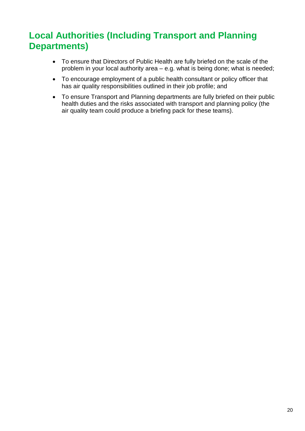#### <span id="page-23-0"></span>**Local Authorities (Including Transport and Planning Departments)**

- To ensure that Directors of Public Health are fully briefed on the scale of the problem in your local authority area – e.g. what is being done; what is needed;
- To encourage employment of a public health consultant or policy officer that has air quality responsibilities outlined in their job profile; and
- To ensure Transport and Planning departments are fully briefed on their public health duties and the risks associated with transport and planning policy (the air quality team could produce a briefing pack for these teams).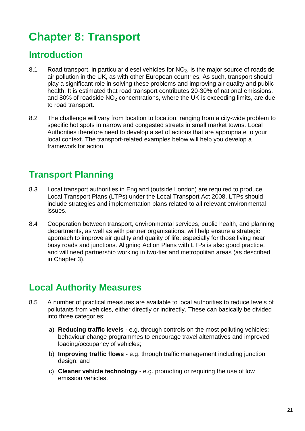### <span id="page-24-0"></span>**Chapter 8: Transport**

#### <span id="page-24-1"></span>**Introduction**

- 8.1 Road transport, in particular diesel vehicles for  $NO<sub>2</sub>$ , is the major source of roadside air pollution in the UK, as with other European countries. As such, transport should play a significant role in solving these problems and improving air quality and public health. It is estimated that road transport contributes 20-30% of national emissions, and 80% of roadside  $NO<sub>2</sub>$  concentrations, where the UK is exceeding limits, are due to road transport.
- 8.2 The challenge will vary from location to location, ranging from a city-wide problem to specific hot spots in narrow and congested streets in small market towns. Local Authorities therefore need to develop a set of actions that are appropriate to your local context. The transport-related examples below will help you develop a framework for action.

#### <span id="page-24-2"></span>**Transport Planning**

- 8.3 Local transport authorities in England (outside London) are required to produce Local Transport Plans (LTPs) under the Local Transport Act 2008. LTPs should include strategies and implementation plans related to all relevant environmental issues.
- 8.4 Cooperation between transport, environmental services, public health, and planning departments, as well as with partner organisations, will help ensure a strategic approach to improve air quality and quality of life, especially for those living near busy roads and junctions. Aligning Action Plans with LTPs is also good practice, and will need partnership working in two-tier and metropolitan areas (as described in Chapter 3).

#### <span id="page-24-3"></span>**Local Authority Measures**

- 8.5 A number of practical measures are available to local authorities to reduce levels of pollutants from vehicles, either directly or indirectly. These can basically be divided into three categories:
	- a) **Reducing traffic levels** e.g. through controls on the most polluting vehicles; behaviour change programmes to encourage travel alternatives and improved loading/occupancy of vehicles;
	- b) **Improving traffic flows** e.g. through traffic management including junction design; and
	- c) **Cleaner vehicle technology** e.g. promoting or requiring the use of low emission vehicles.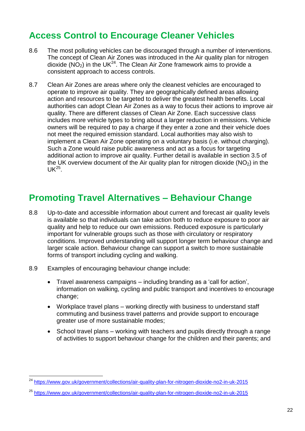#### <span id="page-25-0"></span>**Access Control to Encourage Cleaner Vehicles**

- 8.6 The most polluting vehicles can be discouraged through a number of interventions. The concept of Clean Air Zones was introduced in the Air quality plan for nitrogen dioxide ( $NO<sub>2</sub>$ ) in the UK<sup>24</sup>. The Clean Air Zone framework aims to provide a consistent approach to access controls.
- 8.7 Clean Air Zones are areas where only the cleanest vehicles are encouraged to operate to improve air quality. They are geographically defined areas allowing action and resources to be targeted to deliver the greatest health benefits. Local authorities can adopt Clean Air Zones as a way to focus their actions to improve air quality. There are different classes of Clean Air Zone. Each successive class includes more vehicle types to bring about a larger reduction in emissions. Vehicle owners will be required to pay a charge if they enter a zone and their vehicle does not meet the required emission standard. Local authorities may also wish to implement a Clean Air Zone operating on a voluntary basis (i.e. without charging). Such a Zone would raise public awareness and act as a focus for targeting additional action to improve air quality. Further detail is available in section 3.5 of the UK overview document of the Air quality plan for nitrogen dioxide ( $NO<sub>2</sub>$ ) in the  $UK^{25}$ .

#### <span id="page-25-1"></span>**Promoting Travel Alternatives – Behaviour Change**

- 8.8 Up-to-date and accessible information about current and forecast air quality levels is available so that individuals can take action both to reduce exposure to poor air quality and help to reduce our own emissions. Reduced exposure is particularly important for vulnerable groups such as those with circulatory or respiratory conditions. Improved understanding will support longer term behaviour change and larger scale action. Behaviour change can support a switch to more sustainable forms of transport including cycling and walking.
- 8.9 Examples of encouraging behaviour change include:

- Travel awareness campaigns including branding as a 'call for action', information on walking, cycling and public transport and incentives to encourage change;
- Workplace travel plans working directly with business to understand staff commuting and business travel patterns and provide support to encourage greater use of more sustainable modes;
- School travel plans working with teachers and pupils directly through a range of activities to support behaviour change for the children and their parents; and

<sup>24</sup> <https://www.gov.uk/government/collections/air-quality-plan-for-nitrogen-dioxide-no2-in-uk-2015>

<sup>25</sup> <https://www.gov.uk/government/collections/air-quality-plan-for-nitrogen-dioxide-no2-in-uk-2015>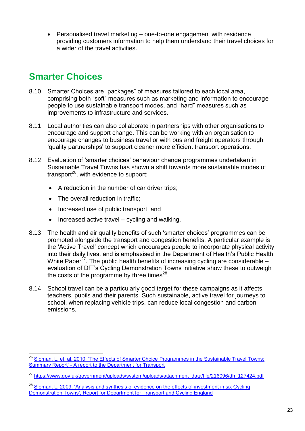Personalised travel marketing – one-to-one engagement with residence providing customers information to help them understand their travel choices for a wider of the travel activities.

#### <span id="page-26-0"></span>**Smarter Choices**

- 8.10 Smarter Choices are "packages" of measures tailored to each local area, comprising both "soft" measures such as marketing and information to encourage people to use sustainable transport modes, and "hard" measures such as improvements to infrastructure and services.
- 8.11 Local authorities can also collaborate in partnerships with other organisations to encourage and support change. This can be working with an organisation to encourage changes to business travel or with bus and freight operators through 'quality partnerships' to support cleaner more efficient transport operations.
- 8.12 Evaluation of 'smarter choices' behaviour change programmes undertaken in Sustainable Travel Towns has shown a shift towards more sustainable modes of transport<sup>26</sup>, with evidence to support:
	- A reduction in the number of car driver trips:
	- The overall reduction in traffic;
	- Increased use of public transport; and
	- Increased active travel cycling and walking.
- 8.13 The health and air quality benefits of such 'smarter choices' programmes can be promoted alongside the transport and congestion benefits. A particular example is the 'Active Travel' concept which encourages people to incorporate physical activity into their daily lives, and is emphasised in the Department of Health's Public Health White Paper<sup>27</sup>. The public health benefits of increasing cycling are considerable evaluation of DfT's Cycling Demonstration Towns initiative show these to outweigh the costs of the programme by three times $^{28}$ .
- 8.14 School travel can be a particularly good target for these campaigns as it affects teachers, pupils and their parents. Such sustainable, active travel for journeys to school, when replacing vehicle trips, can reduce local congestion and carbon emissions.

<sup>&</sup>lt;sup>26</sup> Sloman, L. et. al. 2010, 'The Effects of Smarter Choice Programmes in the Sustainable Travel Towns: Summary Report' - [A report to the Department for Transport](http://webarchive.nationalarchives.gov.uk/20111005180138/http:/assets.dft.gov.uk/publications/the-effects-of-smarter-choice-programmes-in-the-sustainable-travel-towns-summary-report/summaryreport.pdf)

<sup>27</sup> [https://www.gov.uk/government/uploads/system/uploads/attachment\\_data/file/216096/dh\\_127424.pdf](https://www.gov.uk/government/uploads/system/uploads/attachment_data/file/216096/dh_127424.pdf)

<sup>&</sup>lt;sup>28</sup> Sloman, L. 2009, 'Analysis and synthesis of evidence on the effects of investment in six Cycling [Demonstration Towns', Report for Department for Transport and Cycling England](http://campusmedia.eurist.info/images/a/a7/Cycling_England_Analysis_and_Synthesis_on_Effects_of_Investment_Nov_2009.pdf)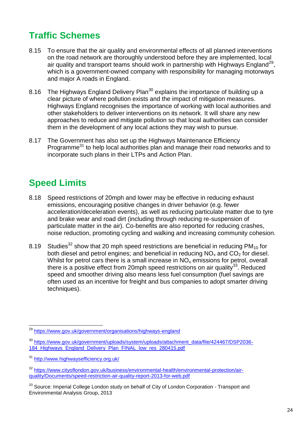#### <span id="page-27-0"></span>**Traffic Schemes**

- 8.15 To ensure that the air quality and environmental effects of all planned interventions on the road network are thoroughly understood before they are implemented, local air quality and transport teams should work in partnership with Highways England<sup>29</sup>, which is a government-owned company with responsibility for managing motorways and major A roads in England.
- 8.16 The Highways England Delivery Plan<sup>30</sup> explains the importance of building up a clear picture of where pollution exists and the impact of mitigation measures. Highways England recognises the importance of working with local authorities and other stakeholders to deliver interventions on its network. It will share any new approaches to reduce and mitigate pollution so that local authorities can consider them in the development of any local actions they may wish to pursue.
- 8.17 The Government has also set up the Highways Maintenance Efficiency Programme<sup>31</sup> to help local authorities plan and manage their road networks and to incorporate such plans in their LTPs and Action Plan.

### <span id="page-27-1"></span>**Speed Limits**

- 8.18 Speed restrictions of 20mph and lower may be effective in reducing exhaust emissions, encouraging positive changes in driver behavior (e.g. fewer acceleration/deceleration events), as well as reducing particulate matter due to tyre and brake wear and road dirt (including through reducing re-suspension of particulate matter in the air). Co-benefits are also reported for reducing crashes, noise reduction, promoting cycling and walking and increasing community cohesion.
- 8.19 Studies<sup>32</sup> show that 20 mph speed restrictions are beneficial in reducing PM<sub>10</sub> for both diesel and petrol engines; and beneficial in reducing  $NO<sub>x</sub>$  and  $CO<sub>2</sub>$  for diesel. Whilst for petrol cars there is a small increase in  $NO<sub>x</sub>$  emissions for petrol, overall there is a positive effect from 20mph speed restrictions on air quality<sup>33</sup>. Reduced speed and smoother driving also means less fuel consumption (fuel savings are often used as an incentive for freight and bus companies to adopt smarter driving techniques).

<sup>&</sup>lt;sup>29</sup> <https://www.gov.uk/government/organisations/highways-england>

<sup>&</sup>lt;sup>30</sup> [https://www.gov.uk/government/uploads/system/uploads/attachment\\_data/file/424467/DSP2036-](https://www.gov.uk/government/uploads/system/uploads/attachment_data/file/424467/DSP2036-184_Highways_England_Delivery_Plan_FINAL_low_res_280415.pdf) [184\\_Highways\\_England\\_Delivery\\_Plan\\_FINAL\\_low\\_res\\_280415.pdf](https://www.gov.uk/government/uploads/system/uploads/attachment_data/file/424467/DSP2036-184_Highways_England_Delivery_Plan_FINAL_low_res_280415.pdf)

<sup>31</sup> <http://www.highwaysefficiency.org.uk/>

<sup>32</sup> [https://www.cityoflondon.gov.uk/business/environmental-health/environmental-protection/air](https://www.cityoflondon.gov.uk/business/environmental-health/environmental-protection/air-quality/Documents/speed-restriction-air-quality-report-2013-for-web.pdf)[quality/Documents/speed-restriction-air-quality-report-2013-for-web.pdf](https://www.cityoflondon.gov.uk/business/environmental-health/environmental-protection/air-quality/Documents/speed-restriction-air-quality-report-2013-for-web.pdf)

<sup>&</sup>lt;sup>33</sup> Source: Imperial College London study on behalf of City of London Corporation - Transport and Environmental Analysis Group, 2013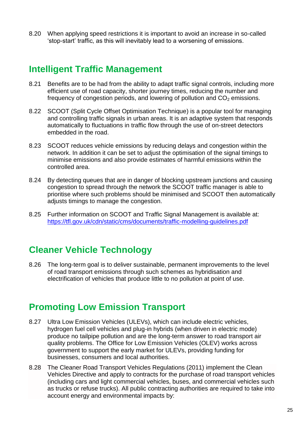8.20 When applying speed restrictions it is important to avoid an increase in so-called 'stop-start' traffic, as this will inevitably lead to a worsening of emissions.

#### <span id="page-28-0"></span>**Intelligent Traffic Management**

- 8.21 Benefits are to be had from the ability to adapt traffic signal controls, including more efficient use of road capacity, shorter journey times, reducing the number and frequency of congestion periods, and lowering of pollution and  $CO<sub>2</sub>$  emissions.
- 8.22 SCOOT (Split Cycle Offset Optimisation Technique) is a popular tool for managing and controlling traffic signals in urban areas. It is an adaptive system that responds automatically to fluctuations in traffic flow through the use of on-street detectors embedded in the road.
- 8.23 SCOOT reduces vehicle emissions by reducing delays and congestion within the network. In addition it can be set to adjust the optimisation of the signal timings to minimise emissions and also provide estimates of harmful emissions within the controlled area.
- 8.24 By detecting queues that are in danger of blocking upstream junctions and causing congestion to spread through the network the SCOOT traffic manager is able to prioritise where such problems should be minimised and SCOOT then automatically adjusts timings to manage the congestion.
- 8.25 Further information on SCOOT and Traffic Signal Management is available at: <https://tfl.gov.uk/cdn/static/cms/documents/traffic-modelling-guidelines.pdf>

#### <span id="page-28-1"></span>**Cleaner Vehicle Technology**

8.26 The long-term goal is to deliver sustainable, permanent improvements to the level of road transport emissions through such schemes as hybridisation and electrification of vehicles that produce little to no pollution at point of use.

#### <span id="page-28-2"></span>**Promoting Low Emission Transport**

- 8.27 Ultra Low Emission Vehicles (ULEVs), which can include electric vehicles, hydrogen fuel cell vehicles and plug-in hybrids (when driven in electric mode) produce no tailpipe pollution and are the long-term answer to road transport air quality problems. The Office for Low Emission Vehicles (OLEV) works across government to support the early market for ULEVs, providing funding for businesses, consumers and local authorities.
- 8.28 The Cleaner Road Transport Vehicles Regulations (2011) implement the Clean Vehicles Directive and apply to contracts for the purchase of road transport vehicles (including cars and light commercial vehicles, buses, and commercial vehicles such as trucks or refuse trucks). All public contracting authorities are required to take into account energy and environmental impacts by: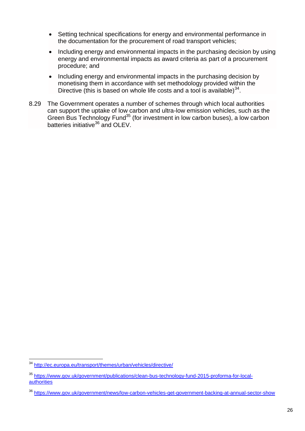- Setting technical specifications for energy and environmental performance in the documentation for the procurement of road transport vehicles;
- Including energy and environmental impacts in the purchasing decision by using energy and environmental impacts as award criteria as part of a procurement procedure; and
- Including energy and environmental impacts in the purchasing decision by monetising them in accordance with set methodology provided within the Directive (this is based on whole life costs and a tool is available) $34$ .
- 8.29 The Government operates a number of schemes through which local authorities can support the uptake of low carbon and ultra-low emission vehicles, such as the Green Bus Technology Fund<sup>35</sup> (for investment in low carbon buses), a low carbon batteries initiative<sup>36</sup> and OLEV.

<sup>&</sup>lt;sup>34</sup> <http://ec.europa.eu/transport/themes/urban/vehicles/directive/>

<sup>35</sup> [https://www.gov.uk/government/publications/clean-bus-technology-fund-2015-proforma-for-local](https://www.gov.uk/government/publications/clean-bus-technology-fund-2015-proforma-for-local-authorities)[authorities](https://www.gov.uk/government/publications/clean-bus-technology-fund-2015-proforma-for-local-authorities)

<sup>36</sup> <https://www.gov.uk/government/news/low-carbon-vehicles-get-government-backing-at-annual-sector-show>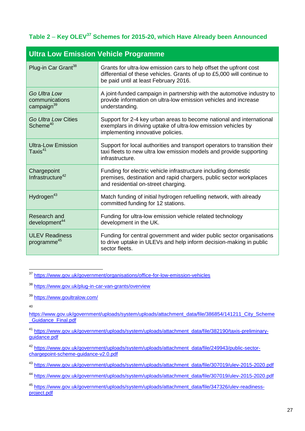#### **Table 2** ‒ **Key OLEV<sup>37</sup> Schemes for 2015-20, which Have Already been Announced**

| <b>Ultra Low Emission Vehicle Programme</b>              |                                                                                                                                                                                        |  |  |  |
|----------------------------------------------------------|----------------------------------------------------------------------------------------------------------------------------------------------------------------------------------------|--|--|--|
| Plug-in Car Grant <sup>38</sup>                          | Grants for ultra-low emission cars to help offset the upfront cost<br>differential of these vehicles. Grants of up to £5,000 will continue to<br>be paid until at least February 2016. |  |  |  |
| Go Ultra Low<br>communications<br>campaign <sup>39</sup> | A joint-funded campaign in partnership with the automotive industry to<br>provide information on ultra-low emission vehicles and increase<br>understanding.                            |  |  |  |
| Go Ultra Low Cities<br>Scheme <sup>40</sup>              | Support for 2-4 key urban areas to become national and international<br>exemplars in driving uptake of ultra-low emission vehicles by<br>implementing innovative policies.             |  |  |  |
| <b>Ultra-Low Emission</b><br>Taxis $41$                  | Support for local authorities and transport operators to transition their<br>taxi fleets to new ultra low emission models and provide supporting<br>infrastructure.                    |  |  |  |
| Chargepoint<br>Infrastructure <sup>42</sup>              | Funding for electric vehicle infrastructure including domestic<br>premises, destination and rapid chargers, public sector workplaces<br>and residential on-street charging.            |  |  |  |
| Hydrogen <sup>43</sup>                                   | Match funding of initial hydrogen refuelling network, with already<br>committed funding for 12 stations.                                                                               |  |  |  |
| Research and<br>development <sup>44</sup>                | Funding for ultra-low emission vehicle related technology<br>development in the UK.                                                                                                    |  |  |  |
| <b>ULEV Readiness</b><br>programme <sup>45</sup>         | Funding for central government and wider public sector organisations<br>to drive uptake in ULEVs and help inform decision-making in public<br>sector fleets.                           |  |  |  |

<u>.</u> <sup>37</sup> <https://www.gov.uk/government/organisations/office-for-low-emission-vehicles>

<sup>38</sup> <https://www.gov.uk/plug-in-car-van-grants/overview>

<sup>39</sup> <https://www.goultralow.com/>

40

[https://www.gov.uk/government/uploads/system/uploads/attachment\\_data/file/386854/141211\\_City\\_Scheme](https://www.gov.uk/government/uploads/system/uploads/attachment_data/file/386854/141211_City_Scheme_Guidance_Final.pdf) Guidance Final.pdf

<sup>41</sup> [https://www.gov.uk/government/uploads/system/uploads/attachment\\_data/file/382190/taxis-preliminary](https://www.gov.uk/government/uploads/system/uploads/attachment_data/file/382190/taxis-preliminary-guidance.pdf)[guidance.pdf](https://www.gov.uk/government/uploads/system/uploads/attachment_data/file/382190/taxis-preliminary-guidance.pdf)

<sup>42</sup> [https://www.gov.uk/government/uploads/system/uploads/attachment\\_data/file/249943/public-sector](https://www.gov.uk/government/uploads/system/uploads/attachment_data/file/249943/public-sector-chargepoint-scheme-guidance-v2.0.pdf)[chargepoint-scheme-guidance-v2.0.pdf](https://www.gov.uk/government/uploads/system/uploads/attachment_data/file/249943/public-sector-chargepoint-scheme-guidance-v2.0.pdf)

<sup>43</sup> [https://www.gov.uk/government/uploads/system/uploads/attachment\\_data/file/307019/ulev-2015-2020.pdf](https://www.gov.uk/government/uploads/system/uploads/attachment_data/file/307019/ulev-2015-2020.pdf)

<sup>44</sup> [https://www.gov.uk/government/uploads/system/uploads/attachment\\_data/file/307019/ulev-2015-2020.pdf](https://www.gov.uk/government/uploads/system/uploads/attachment_data/file/307019/ulev-2015-2020.pdf)

<sup>45</sup> [https://www.gov.uk/government/uploads/system/uploads/attachment\\_data/file/347326/ulev-readiness](https://www.gov.uk/government/uploads/system/uploads/attachment_data/file/347326/ulev-readiness-project.pdf)[project.pdf](https://www.gov.uk/government/uploads/system/uploads/attachment_data/file/347326/ulev-readiness-project.pdf)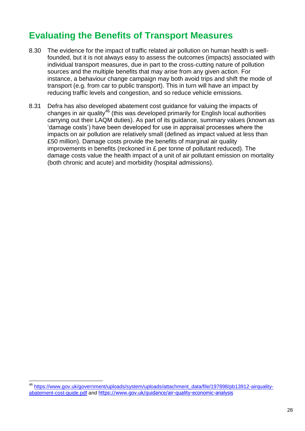#### <span id="page-31-0"></span>**Evaluating the Benefits of Transport Measures**

- 8.30 The evidence for the impact of traffic related air pollution on human health is wellfounded, but it is not always easy to assess the outcomes (impacts) associated with individual transport measures, due in part to the cross-cutting nature of pollution sources and the multiple benefits that may arise from any given action. For instance, a behaviour change campaign may both avoid trips and shift the mode of transport (e.g. from car to public transport). This in turn will have an impact by reducing traffic levels and congestion, and so reduce vehicle emissions.
- 8.31 Defra has also developed abatement cost guidance for valuing the impacts of changes in air quality<sup>46</sup> (this was developed primarily for English local authorities carrying out their LAQM duties). As part of its guidance, summary values (known as 'damage costs') have been developed for use in appraisal processes where the impacts on air pollution are relatively small (defined as impact valued at less than £50 million). Damage costs provide the benefits of marginal air quality improvements in benefits (reckoned in £ per tonne of pollutant reduced). The damage costs value the health impact of a unit of air pollutant emission on mortality (both chronic and acute) and morbidity (hospital admissions).

<sup>46</sup> [https://www.gov.uk/government/uploads/system/uploads/attachment\\_data/file/197898/pb13912-airquality](https://www.gov.uk/government/uploads/system/uploads/attachment_data/file/197898/pb13912-airquality-abatement-cost-guide.pdf)[abatement-cost-guide.pdf](https://www.gov.uk/government/uploads/system/uploads/attachment_data/file/197898/pb13912-airquality-abatement-cost-guide.pdf) and https://www.gov.uk/guidance/air-quality-economic-analysis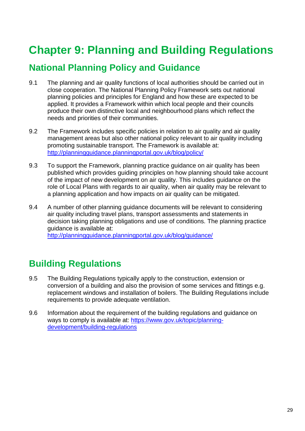### <span id="page-32-0"></span>**Chapter 9: Planning and Building Regulations**

#### <span id="page-32-1"></span>**National Planning Policy and Guidance**

- 9.1 The planning and air quality functions of local authorities should be carried out in close cooperation. The National Planning Policy Framework sets out national planning policies and principles for England and how these are expected to be applied. It provides a Framework within which local people and their councils produce their own distinctive local and neighbourhood plans which reflect the needs and priorities of their communities.
- 9.2 The Framework includes specific policies in relation to air quality and air quality management areas but also other national policy relevant to air quality including promoting sustainable transport. The Framework is available at: <http://planningguidance.planningportal.gov.uk/blog/policy/>
- 9.3 To support the Framework, planning practice guidance on air quality has been published which provides guiding principles on how planning should take account of the impact of new development on air quality. This includes guidance on the role of Local Plans with regards to air quality, when air quality may be relevant to a planning application and how impacts on air quality can be mitigated.
- 9.4 A number of other planning guidance documents will be relevant to considering air quality including travel plans, transport assessments and statements in decision taking planning obligations and use of conditions. The planning practice guidance is available at: <http://planningguidance.planningportal.gov.uk/blog/guidance/>

#### <span id="page-32-2"></span>**Building Regulations**

- 9.5 The Building Regulations typically apply to the construction, extension or conversion of a building and also the provision of some services and fittings e.g. replacement windows and installation of boilers. The Building Regulations include requirements to provide adequate ventilation.
- 9.6 Information about the requirement of the building regulations and guidance on ways to comply is available at: [https://www.gov.uk/topic/planning](https://www.gov.uk/topic/planning-development/building-regulations)[development/building-regulations](https://www.gov.uk/topic/planning-development/building-regulations)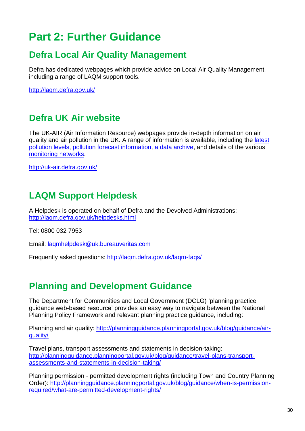### <span id="page-33-0"></span>**Part 2: Further Guidance**

#### <span id="page-33-1"></span>**Defra Local Air Quality Management**

Defra has dedicated webpages which provide advice on Local Air Quality Management, including a range of LAQM support tools.

<http://laqm.defra.gov.uk/>

#### <span id="page-33-2"></span>**Defra UK Air website**

The UK-AIR (Air Information Resource) webpages provide in-depth information on air quality and air pollution in the UK. A range of information is available, including the [latest](http://uk-air.defra.gov.uk/latest)  [pollution levels,](http://uk-air.defra.gov.uk/latest) [pollution forecast information,](http://uk-air.defra.gov.uk/forecasting) [a data archive,](http://uk-air.defra.gov.uk/data) and details of the various [monitoring networks.](http://uk-air.defra.gov.uk/networks)

<http://uk-air.defra.gov.uk/>

#### <span id="page-33-3"></span>**LAQM Support Helpdesk**

A Helpdesk is operated on behalf of Defra and the Devolved Administrations: <http://laqm.defra.gov.uk/helpdesks.html>

Tel: 0800 032 7953

Email: [laqmhelpdesk@uk.bureauveritas.com](mailto:laqmhelpdesk@uk.bureauveritas.com)

Frequently asked questions: <http://laqm.defra.gov.uk/laqm-faqs/>

#### <span id="page-33-4"></span>**Planning and Development Guidance**

The Department for Communities and Local Government (DCLG) 'planning practice guidance web-based resource' provides an easy way to navigate between the National Planning Policy Framework and relevant planning practice guidance, including:

Planning and air quality: [http://planningguidance.planningportal.gov.uk/blog/guidance/air](http://planningguidance.planningportal.gov.uk/blog/guidance/air-quality/)[quality/](http://planningguidance.planningportal.gov.uk/blog/guidance/air-quality/)

Travel plans, transport assessments and statements in decision-taking: [http://planningguidance.planningportal.gov.uk/blog/guidance/travel-plans-transport](http://planningguidance.planningportal.gov.uk/blog/guidance/travel-plans-transport-assessments-and-statements-in-decision-taking/)[assessments-and-statements-in-decision-taking/](http://planningguidance.planningportal.gov.uk/blog/guidance/travel-plans-transport-assessments-and-statements-in-decision-taking/)

Planning permission - permitted development rights (including Town and Country Planning Order): [http://planningguidance.planningportal.gov.uk/blog/guidance/when-is-permission](http://planningguidance.planningportal.gov.uk/blog/guidance/when-is-permission-required/what-are-permitted-development-rights/)[required/what-are-permitted-development-rights/](http://planningguidance.planningportal.gov.uk/blog/guidance/when-is-permission-required/what-are-permitted-development-rights/)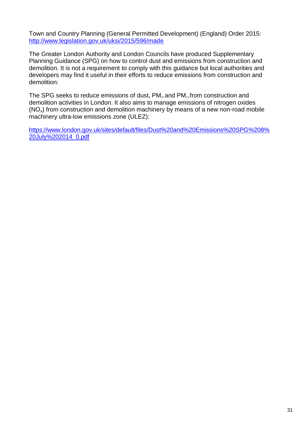Town and Country Planning (General Permitted Development) (England) Order 2015: <http://www.legislation.gov.uk/uksi/2015/596/made>

The Greater London Authority and London Councils have produced Supplementary Planning Guidance (SPG) on how to control dust and emissions from construction and demolition. It is not a requirement to comply with this guidance but local authorities and developers may find it useful in their efforts to reduce emissions from construction and demolition:

The SPG seeks to reduce emissions of dust,  $PM_{10}$  and  $PM_{2.5}$  from construction and demolition activities in London. It also aims to manage emissions of nitrogen oxides  $(NO<sub>x</sub>)$  from construction and demolition machinery by means of a new non-road mobile machinery ultra-low emissions zone (ULEZ):

[https://www.london.gov.uk/sites/default/files/Dust%20and%20Emissions%20SPG%208%](https://www.london.gov.uk/sites/default/files/Dust%20and%20Emissions%20SPG%208%20July%202014_0.pdf) [20July%202014\\_0.pdf](https://www.london.gov.uk/sites/default/files/Dust%20and%20Emissions%20SPG%208%20July%202014_0.pdf)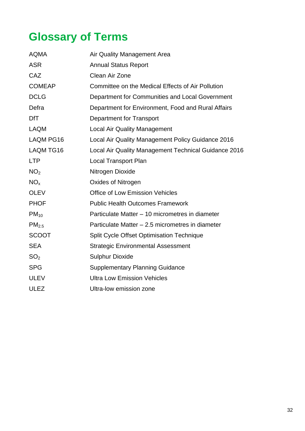## <span id="page-35-0"></span>**Glossary of Terms**

| <b>AQMA</b>       | Air Quality Management Area                          |  |  |
|-------------------|------------------------------------------------------|--|--|
| <b>ASR</b>        | <b>Annual Status Report</b>                          |  |  |
| CAZ               | Clean Air Zone                                       |  |  |
| <b>COMEAP</b>     | Committee on the Medical Effects of Air Pollution    |  |  |
| <b>DCLG</b>       | Department for Communities and Local Government      |  |  |
| Defra             | Department for Environment, Food and Rural Affairs   |  |  |
| <b>DfT</b>        | <b>Department for Transport</b>                      |  |  |
| <b>LAQM</b>       | <b>Local Air Quality Management</b>                  |  |  |
| LAQM PG16         | Local Air Quality Management Policy Guidance 2016    |  |  |
| LAQM TG16         | Local Air Quality Management Technical Guidance 2016 |  |  |
| <b>LTP</b>        | <b>Local Transport Plan</b>                          |  |  |
| NO <sub>2</sub>   | Nitrogen Dioxide                                     |  |  |
| NO <sub>x</sub>   | Oxides of Nitrogen                                   |  |  |
| <b>OLEV</b>       | <b>Office of Low Emission Vehicles</b>               |  |  |
| <b>PHOF</b>       | <b>Public Health Outcomes Framework</b>              |  |  |
| $PM_{10}$         | Particulate Matter – 10 micrometres in diameter      |  |  |
| PM <sub>2.5</sub> | Particulate Matter - 2.5 micrometres in diameter     |  |  |
| <b>SCOOT</b>      | <b>Split Cycle Offset Optimisation Technique</b>     |  |  |
| <b>SEA</b>        | <b>Strategic Environmental Assessment</b>            |  |  |
| SO <sub>2</sub>   | <b>Sulphur Dioxide</b>                               |  |  |
| <b>SPG</b>        | <b>Supplementary Planning Guidance</b>               |  |  |
| <b>ULEV</b>       | <b>Ultra Low Emission Vehicles</b>                   |  |  |
| <b>ULEZ</b>       | Ultra-low emission zone                              |  |  |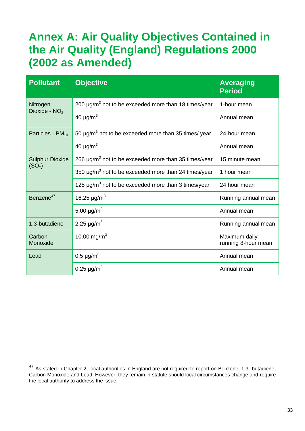### <span id="page-36-0"></span>**Annex A: Air Quality Objectives Contained in the Air Quality (England) Regulations 2000 (2002 as Amended)**

| <b>Pollutant</b>                             | <b>Objective</b>                                                      | <b>Averaging</b><br><b>Period</b>    |
|----------------------------------------------|-----------------------------------------------------------------------|--------------------------------------|
| Nitrogen<br>Dioxide - $NO2$                  | 200 $\mu$ g/m <sup>3</sup> not to be exceeded more than 18 times/year | 1-hour mean                          |
|                                              | 40 $\mu$ g/m <sup>3</sup>                                             | Annual mean                          |
| Particles - $PM_{10}$                        | 50 $\mu$ g/m <sup>3</sup> not to be exceeded more than 35 times/ year | 24-hour mean                         |
|                                              | 40 $\mu$ g/m <sup>3</sup>                                             | Annual mean                          |
| <b>Sulphur Dioxide</b><br>(SO <sub>2</sub> ) | 266 $\mu$ g/m <sup>3</sup> not to be exceeded more than 35 times/year | 15 minute mean                       |
|                                              | 350 $\mu$ g/m <sup>3</sup> not to be exceeded more than 24 times/year | 1 hour mean                          |
|                                              | 125 $\mu$ g/m <sup>3</sup> not to be exceeded more than 3 times/year  | 24 hour mean                         |
| Benzene <sup>47</sup>                        | 16.25 $\mu$ g/m <sup>3</sup>                                          | Running annual mean                  |
|                                              | 5.00 $\mu$ g/m <sup>3</sup>                                           | Annual mean                          |
| 1,3-butadiene                                | 2.25 $\mu$ g/m <sup>3</sup>                                           | Running annual mean                  |
| Carbon<br>Monoxide                           | 10.00 mg/m <sup>3</sup>                                               | Maximum daily<br>running 8-hour mean |
| Lead                                         | 0.5 $\mu$ g/m <sup>3</sup>                                            | Annual mean                          |
|                                              | 0.25 $\mu$ g/m <sup>3</sup>                                           | Annual mean                          |

<sup>&</sup>lt;sup>47</sup> As stated in Chapter 2, local authorities in England are not required to report on Benzene, 1,3- butadiene, Carbon Monoxide and Lead. However, they remain in statute should local circumstances change and require the local authority to address the issue.